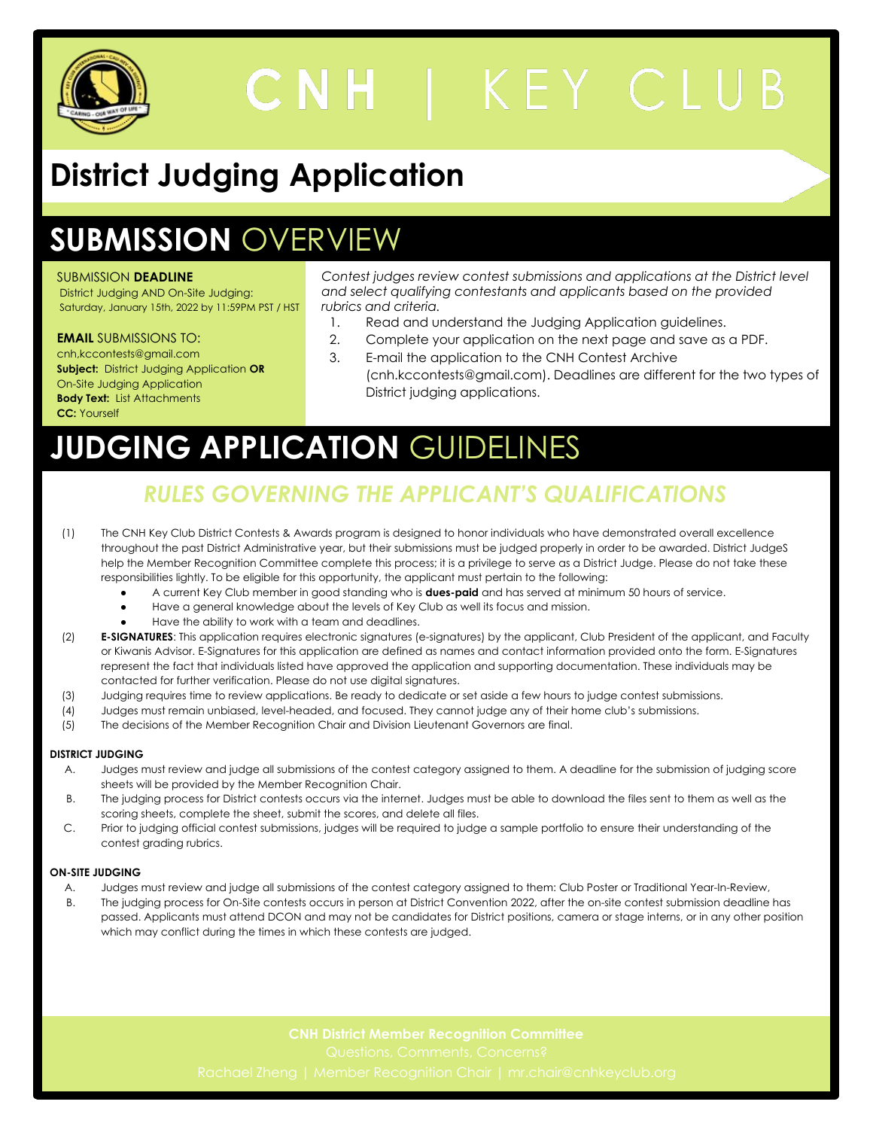

# CNH | KEY CLUB

# **District Judging Application**

## **SUBMISSION** OVERVIEW

#### SUBMISSION **DEADLINE**

District Judging AND On-Site Judging: Saturday, January 15th, 2022 by 11:59PM PST / HST

#### **EMAIL** SUBMISSIONS TO:

- cnh,kccontests@gmail.com **Subject:** District Judging Application **OR**  On-Site Judging Application **Body Text:** List Attachments **CC:** Yourself
- *Contest judges review contest submissions and applications at the District level and select qualifying contestants and applicants based on the provided rubrics and criteria.*
	- 1. Read and understand the Judging Application guidelines.
	- 2. Complete your application on the next page and save as a PDF.
	- 3. E-mail the application to the CNH Contest Archive (cnh.kccontests@gmail.com). Deadlines are different for the two types of District judging applications.

# **JUDGING APPLICATION** GUIDELINES

### *RULES GOVERNING THE APPLICANT'S QUALIFICATIONS*

- (1) The CNH Key Club District Contests & Awards program is designed to honor individuals who have demonstrated overall excellence throughout the past District Administrative year, but their submissions must be judged properly in order to be awarded. District JudgeS help the Member Recognition Committee complete this process; it is a privilege to serve as a District Judge. Please do not take these responsibilities lightly. To be eligible for this opportunity, the applicant must pertain to the following:
	- A current Key Club member in good standing who is **dues-paid** and has served at minimum 50 hours of service.
	- Have a general knowledge about the levels of Key Club as well its focus and mission.
	- Have the ability to work with a team and deadlines.
- (2) **E-SIGNATURES**: This application requires electronic signatures (e-signatures) by the applicant, Club President of the applicant, and Faculty or Kiwanis Advisor. E-Signatures for this application are defined as names and contact information provided onto the form. E-Signatures represent the fact that individuals listed have approved the application and supporting documentation. These individuals may be contacted for further verification. Please do not use digital signatures.
- (3) Judging requires time to review applications. Be ready to dedicate or set aside a few hours to judge contest submissions.
- (4) Judges must remain unbiased, level-headed, and focused. They cannot judge any of their home club's submissions.
- (5) The decisions of the Member Recognition Chair and Division Lieutenant Governors are final.

#### **DISTRICT JUDGING**

- A. Judges must review and judge all submissions of the contest category assigned to them. A deadline for the submission of judging score sheets will be provided by the Member Recognition Chair.
- B. The judging process for District contests occurs via the internet. Judges must be able to download the files sent to them as well as the scoring sheets, complete the sheet, submit the scores, and delete all files.
- C. Prior to judging official contest submissions, judges will be required to judge a sample portfolio to ensure their understanding of the contest grading rubrics.

#### **ON-SITE JUDGING**

- A. Judges must review and judge all submissions of the contest category assigned to them: Club Poster or Traditional Year-In-Review,
- B. The judging process for On-Site contests occurs in person at District Convention 2022, after the on-site contest submission deadline has passed. Applicants must attend DCON and may not be candidates for District positions, camera or stage interns, or in any other position which may conflict during the times in which these contests are judged.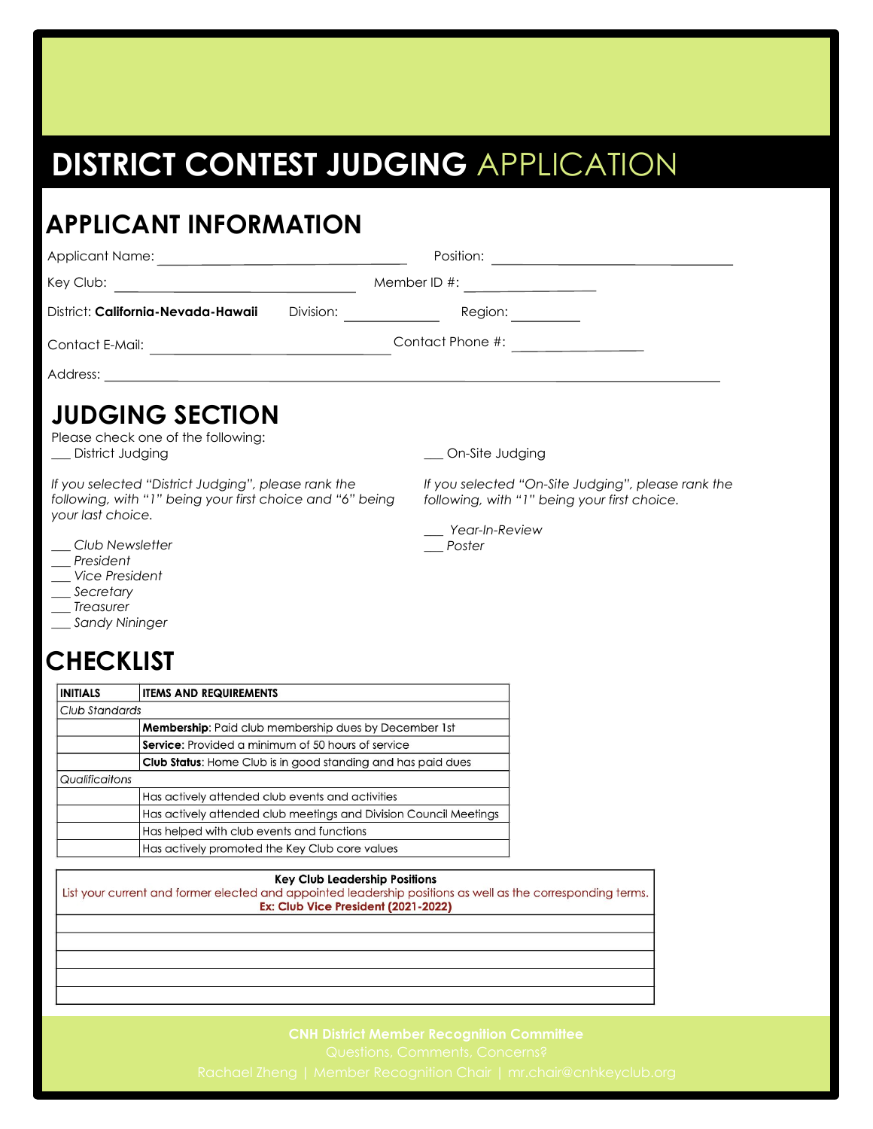## **DISTRICT CONTEST JUDGING** APPLICATION

#### **APPLICANT INFORMATION** Applicant Name: <u>example and the contract of the Position:</u> Position: <u>example and the Position:</u> Key Club: Member ID #: District: **California-Nevada-Hawaii** Division: Region: **JUDGING SECTION** Please check one of the following: \_\_\_ District Judging *If you selected "District Judging", please rank the following, with "1" being your first choice and "6" being your last choice. \_\_\_ Club Newsletter \_\_\_ President \_\_\_ Vice President \_\_\_ Secretary \_\_\_ Treasurer \_\_\_ Sandy Nininger* Contact E-Mail: Contact Phone #: Address: \_\_ On-Site Judging *If you selected "On-Site Judging", please rank the following, with "1" being your first choice. \_\_\_ Year-In-Review \_\_\_ Poster*

### **CHECKLIST**

| <b>INITIALS</b> | <b>ITEMS AND REQUIREMENTS</b>                                       |  |
|-----------------|---------------------------------------------------------------------|--|
| Club Standards  |                                                                     |  |
|                 | <b>Membership:</b> Paid club membership dues by December 1st        |  |
|                 | <b>Service:</b> Provided a minimum of 50 hours of service           |  |
|                 | <b>Club Status:</b> Home Club is in good standing and has paid dues |  |
| Qualificaitons  |                                                                     |  |
|                 | Has actively attended club events and activities                    |  |
|                 | Has actively attended club meetings and Division Council Meetings   |  |
|                 | Has helped with club events and functions                           |  |
|                 | Has actively promoted the Key Club core values                      |  |

#### **Key Club Leadership Positions**

List your current and former elected and appointed leadership positions as well as the corresponding terms. Ex: Club Vice President (2021-2022)